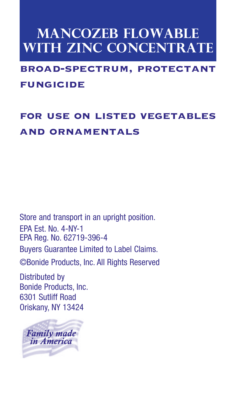# **MANCOZEB FLOWABLE with ZINC Concentrate**

## broad-spectrum, protectant fungicide

## for use on listed vegetables and ornamentals

Store and transport in an upright position. EPA Est. No. 4-NY-1 EPA Reg. No. 62719-396-4

Buyers Guarantee Limited to Label Claims.

©Bonide Products, Inc. All Rights Reserved

Distributed by Bonide Products, Inc. 6301 Sutliff Road Oriskany, NY 13424

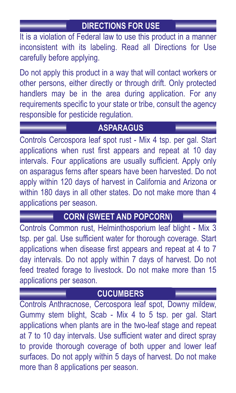## **DIRECTIONS FOR USE**

It is a violation of Federal law to use this product in a manner inconsistent with its labeling. Read all Directions for Use carefully before applying.

Do not apply this product in a way that will contact workers or other persons, either directly or through drift. Only protected handlers may be in the area during application. For any requirements specific to your state or tribe, consult the agency responsible for pesticide regulation.

#### **ASPARAGUS**

Controls Cercospora leaf spot rust - Mix 4 tsp. per gal. Start applications when rust first appears and repeat at 10 day intervals. Four applications are usually sufficient. Apply only on asparagus ferns after spears have been harvested. Do not apply within 120 days of harvest in California and Arizona or within 180 days in all other states. Do not make more than 4 applications per season.

#### **CORN (SWEET AND POPCORN)**

Controls Common rust, Helminthosporium leaf blight - Mix 3 tsp. per gal. Use sufficient water for thorough coverage. Start applications when disease first appears and repeat at 4 to 7 day intervals. Do not apply within 7 days of harvest. Do not feed treated forage to livestock. Do not make more than 15 applications per season.

## **CUCUMBERS**

Controls Anthracnose, Cercospora leaf spot, Downy mildew, Gummy stem blight, Scab - Mix 4 to 5 tsp. per gal. Start applications when plants are in the two-leaf stage and repeat at 7 to 10 day intervals. Use sufficient water and direct spray to provide thorough coverage of both upper and lower leaf surfaces. Do not apply within 5 days of harvest. Do not make more than 8 applications per season.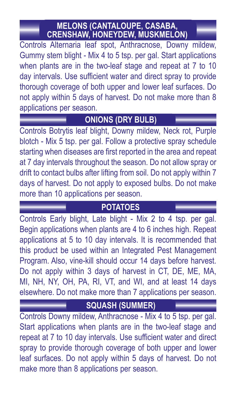#### **MELONS (CANTALOUPE, CASABA, CRENSHAW, HONEYDEW, MUSKMELON)**

Controls Alternaria leaf spot, Anthracnose, Downy mildew, Gummy stem blight - Mix 4 to 5 tsp. per gal. Start applications when plants are in the two-leaf stage and repeat at 7 to 10 day intervals. Use sufficient water and direct spray to provide thorough coverage of both upper and lower leaf surfaces. Do not apply within 5 days of harvest. Do not make more than 8 applications per season.

## **ONIONS (DRY BULB)**

Controls Botrytis leaf blight, Downy mildew, Neck rot, Purple blotch - Mix 5 tsp. per gal. Follow a protective spray schedule starting when diseases are first reported in the area and repeat at 7 day intervals throughout the season. Do not allow spray or drift to contact bulbs after lifting from soil. Do not apply within 7 days of harvest. Do not apply to exposed bulbs. Do not make more than 10 applications per season.

#### **POTATOES**

Controls Early blight, Late blight - Mix 2 to 4 tsp. per gal. Begin applications when plants are 4 to 6 inches high. Repeat applications at 5 to 10 day intervals. It is recommended that this product be used within an Integrated Pest Management Program. Also, vine-kill should occur 14 days before harvest. Do not apply within 3 days of harvest in CT, DE, ME, MA, MI, NH, NY, OH, PA, RI, VT, and WI, and at least 14 days elsewhere. Do not make more than 7 applications per season.

## **SQUASH (SUMMER)**

Controls Downy mildew, Anthracnose - Mix 4 to 5 tsp. per gal. Start applications when plants are in the two-leaf stage and repeat at 7 to 10 day intervals. Use sufficient water and direct spray to provide thorough coverage of both upper and lower leaf surfaces. Do not apply within 5 days of harvest. Do not make more than  $8$  applications per season.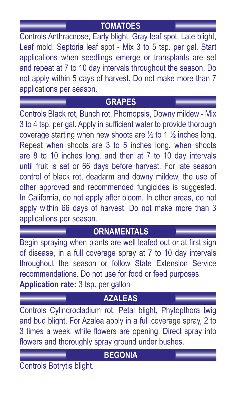## **TOMATOES**

Controls Anthracnose, Early blight, Gray leaf spot, Late blight, Leaf mold, Septoria leaf spot - Mix 3 to 5 tsp. per gal. Start applications when seedlings emerge or transplants are set and repeat at 7 to 10 day intervals throughout the season. Do not apply within 5 days of harvest. Do not make more than 7 applications per season.

#### **GRAPES**

Controls Black rot, Bunch rot, Phomopsis, Downy mildew - Mix 3 to 4 tsp. per gal. Apply in sufficient water to provide thorough coverage starting when new shoots are  $\frac{1}{2}$  to 1  $\frac{1}{2}$  inches long. Repeat when shoots are 3 to 5 inches long, when shoots are  $8$  to  $10$  inches long, and then at  $7$  to  $10$  day intervals until fruit is set or 66 days before harvest. For late season control of black rot, deadarm and downy mildew, the use of other approved and recommended fungicides is suggested. In California, do not apply after bloom. In other areas, do not apply within 66 days of harvest. Do not make more than 3 applications per season.

## **ORNAMENTALS**

Begin spraying when plants are well leafed out or at first sign of disease, in a full coverage spray at 7 to 10 day intervals throughout the season or follow State Extension Service recommendations. Do not use for food or feed purposes. **Application rate:** 3 tsp. per gallon

#### **AZALEAS**

Controls Cylindrocladium rot, Petal blight, Phytopthora twig and bud blight. For Azalea apply in a full coverage spray, 2 to 3 times a week, while flowers are opening. Direct spray into flowers and thoroughly spray ground under bushes.

#### **BEGONIA**

Controls Botrytis blight.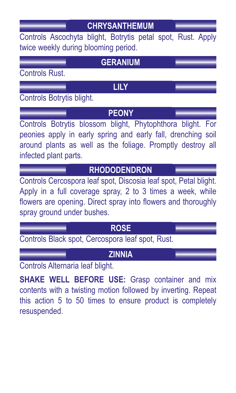## **CHRYSANTHEMUM**

Controls Ascochyta blight, Botrytis petal spot, Rust. Apply twice weekly during blooming period.

| <b>GERANIUM</b>                                                                                                                                                                                                               |
|-------------------------------------------------------------------------------------------------------------------------------------------------------------------------------------------------------------------------------|
| <b>Controls Rust.</b>                                                                                                                                                                                                         |
| LILY                                                                                                                                                                                                                          |
| Controls Botrytis blight.                                                                                                                                                                                                     |
| <b>PEONY</b>                                                                                                                                                                                                                  |
| Controls Botrytis blossom blight, Phytophthora blight. For<br>peonies apply in early spring and early fall, drenching soil<br>around plants as well as the foliage. Promptly destroy all<br>infected plant parts.             |
| <b>RHODODENDRON</b>                                                                                                                                                                                                           |
| Controls Cercospora leaf spot, Discosia leaf spot, Petal blight.<br>Apply in a full coverage spray, 2 to 3 times a week, while<br>flowers are opening. Direct spray into flowers and thoroughly<br>spray ground under bushes. |
| <b>ROSE</b>                                                                                                                                                                                                                   |

Controls Black spot, Cercospora leaf spot, Rust.

## **ZINNIA**

Controls Alternaria leaf blight.

**SHAKE WELL BEFORE USE:** Grasp container and mix contents with a twisting motion followed by inverting. Repeat this  $action 5 to 50 times to ensure product is completely$ resuspended.#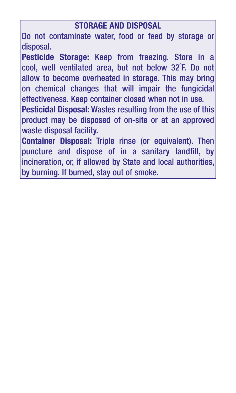#### **STORAGE AND DISPOSAL**

Do not contaminate water, food or feed by storage or disposal.

**Pesticide Storage:** Keep from freezing. Store in a cool, well ventilated area, but not below 32˚F. Do not allow to become overheated in storage. This may bring on chemical changes that will impair the fungicidal effectiveness. Keep container closed when not in use.

**Pesticidal Disposal:** Wastes resulting from the use of this product may be disposed of on-site or at an approved waste disposal facility.

**Container Disposal:** Triple rinse (or equivalent). Then puncture and dispose of in a sanitary landfill, by incineration, or, if allowed by State and local authorities, by burning. If burned, stay out of smoke.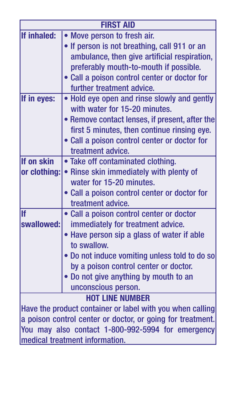| <b>FIRST AID</b>                                           |                                                |
|------------------------------------------------------------|------------------------------------------------|
| If inhaled:                                                | Move person to fresh air.                      |
|                                                            | • If person is not breathing, call 911 or an   |
|                                                            | ambulance, then give artificial respiration,   |
|                                                            | preferably mouth-to-mouth if possible.         |
|                                                            | • Call a poison control center or doctor for   |
|                                                            | further treatment advice.                      |
| If in eyes:                                                | . Hold eye open and rinse slowly and gently    |
|                                                            | with water for 15-20 minutes.                  |
|                                                            | • Remove contact lenses, if present, after the |
|                                                            | first 5 minutes, then continue rinsing eye.    |
|                                                            | . Call a poison control center or doctor for   |
|                                                            | treatment advice.                              |
| If on skin                                                 | • Take off contaminated clothing.              |
| or clothing:                                               | • Rinse skin immediately with plenty of        |
|                                                            | water for 15-20 minutes.                       |
|                                                            | • Call a poison control center or doctor for   |
|                                                            | treatment advice.                              |
| <b>If</b>                                                  | • Call a poison control center or doctor       |
| swallowed:                                                 | immediately for treatment advice.              |
|                                                            | . Have person sip a glass of water if able     |
|                                                            | to swallow.                                    |
|                                                            | . Do not induce vomiting unless told to do so  |
|                                                            | by a poison control center or doctor.          |
|                                                            | . Do not give anything by mouth to an          |
|                                                            | unconscious person.                            |
| <b>HOT LINE NUMBER</b>                                     |                                                |
| Have the product container or label with you when calling  |                                                |
| a poison control center or doctor, or going for treatment. |                                                |
| You may also contact 1-800-992-5994 for emergency          |                                                |
| medical treatment information.                             |                                                |